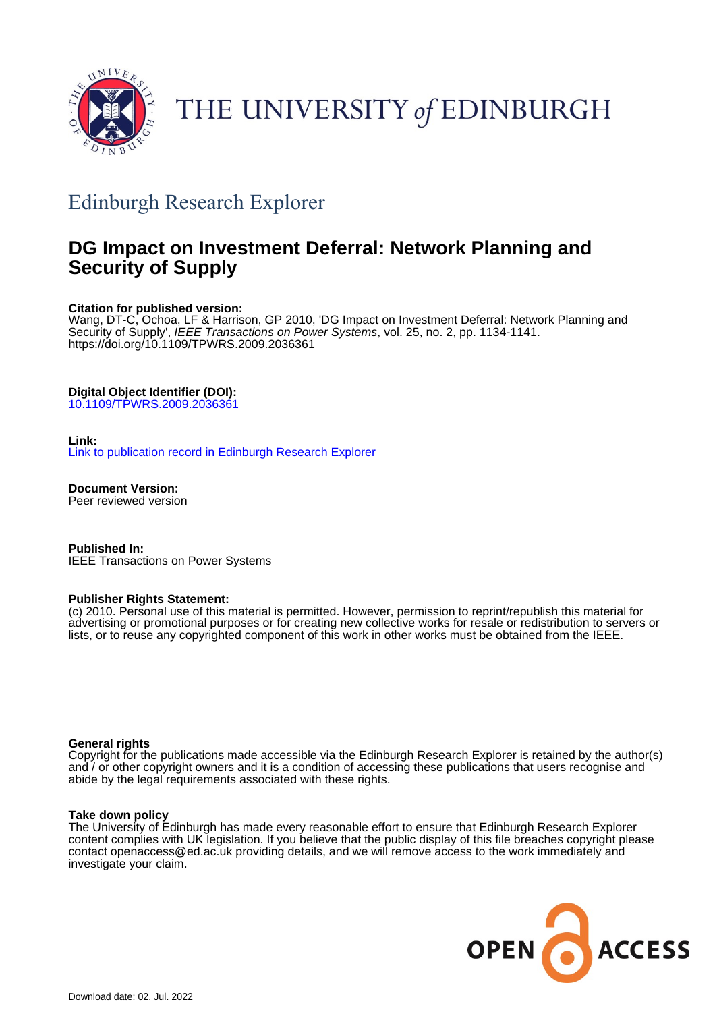

# THE UNIVERSITY of EDINBURGH

# Edinburgh Research Explorer

# **DG Impact on Investment Deferral: Network Planning and Security of Supply**

# **Citation for published version:**

Wang, DT-C, Ochoa, LF & Harrison, GP 2010, 'DG Impact on Investment Deferral: Network Planning and Security of Supply', IEEE Transactions on Power Systems, vol. 25, no. 2, pp. 1134-1141. <https://doi.org/10.1109/TPWRS.2009.2036361>

# **Digital Object Identifier (DOI):**

[10.1109/TPWRS.2009.2036361](https://doi.org/10.1109/TPWRS.2009.2036361)

## **Link:**

[Link to publication record in Edinburgh Research Explorer](https://www.research.ed.ac.uk/en/publications/4fd8f79d-e4ff-4913-b9c7-32c9467fa157)

**Document Version:** Peer reviewed version

**Published In:** IEEE Transactions on Power Systems

## **Publisher Rights Statement:**

(c) 2010. Personal use of this material is permitted. However, permission to reprint/republish this material for advertising or promotional purposes or for creating new collective works for resale or redistribution to servers or lists, or to reuse any copyrighted component of this work in other works must be obtained from the IEEE.

## **General rights**

Copyright for the publications made accessible via the Edinburgh Research Explorer is retained by the author(s) and / or other copyright owners and it is a condition of accessing these publications that users recognise and abide by the legal requirements associated with these rights.

## **Take down policy**

The University of Edinburgh has made every reasonable effort to ensure that Edinburgh Research Explorer content complies with UK legislation. If you believe that the public display of this file breaches copyright please contact openaccess@ed.ac.uk providing details, and we will remove access to the work immediately and investigate your claim.

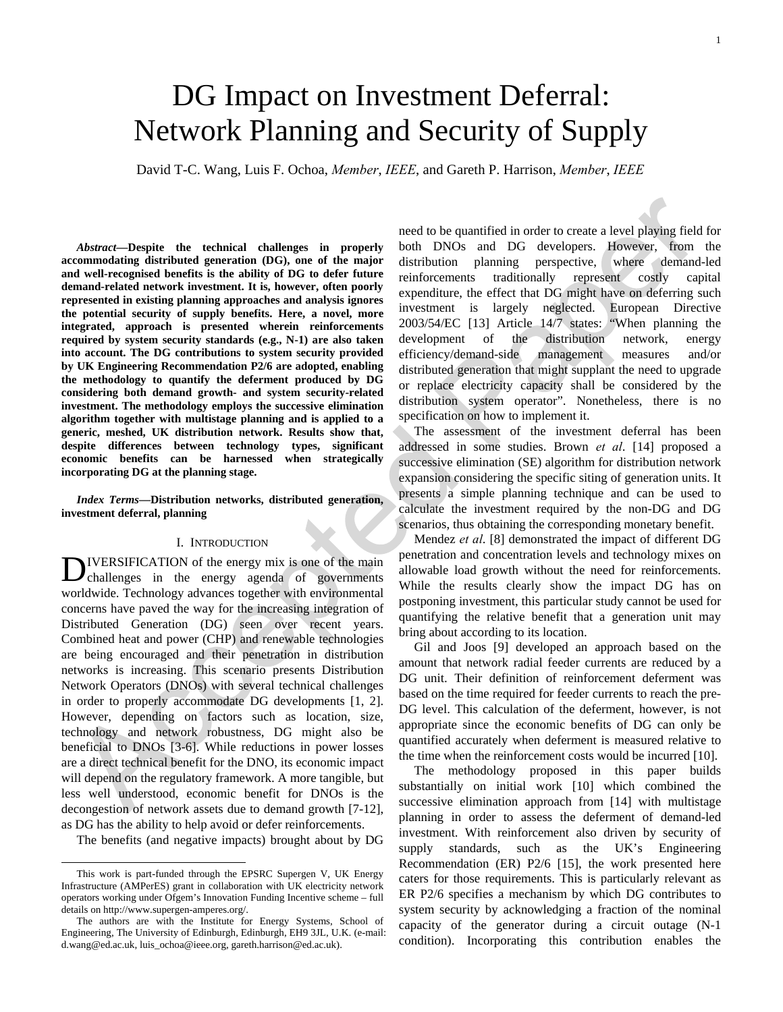# DG Impact on Investment Deferral: Network Planning and Security of Supply

David T-C. Wang, Luis F. Ochoa, *Member*, *IEEE*, and Gareth P. Harrison, *Member*, *IEEE*

*Abstract***—Despite the technical challenges in properly accommodating distributed generation (DG), one of the major and well-recognised benefits is the ability of DG to defer future demand-related network investment. It is, however, often poorly represented in existing planning approaches and analysis ignores the potential security of supply benefits. Here, a novel, more integrated, approach is presented wherein reinforcements required by system security standards (e.g., N-1) are also taken into account. The DG contributions to system security provided by UK Engineering Recommendation P2/6 are adopted, enabling the methodology to quantify the deferment produced by DG considering both demand growth- and system security-related investment. The methodology employs the successive elimination algorithm together with multistage planning and is applied to a generic, meshed, UK distribution network. Results show that, despite differences between technology types, significant economic benefits can be harnessed when strategically incorporating DG at the planning stage.** 

*Index Terms***—Distribution networks, distributed generation, investment deferral, planning** 

#### I. INTRODUCTION

IVERSIFICATION of the energy mix is one of the main **D**IVERSIFICATION of the energy mix is one of the main<br>challenges in the energy agenda of governments worldwide. Technology advances together with environmental concerns have paved the way for the increasing integration of Distributed Generation (DG) seen over recent years. Combined heat and power (CHP) and renewable technologies are being encouraged and their penetration in distribution networks is increasing. This scenario presents Distribution Network Operators (DNOs) with several technical challenges in order to properly accommodate DG developments [1, 2]. However, depending on factors such as location, size, technology and network robustness, DG might also be beneficial to DNOs [3-6]. While reductions in power losses are a direct technical benefit for the DNO, its economic impact will depend on the regulatory framework. A more tangible, but less well understood, economic benefit for DNOs is the decongestion of network assets due to demand growth [7-12], as DG has the ability to help avoid or defer reinforcements.

The benefits (and negative impacts) brought about by DG

need to be quantified in order to create a level playing field for both DNOs and DG developers. However, from the distribution planning perspective, where demand-led reinforcements traditionally represent costly capital expenditure, the effect that DG might have on deferring such investment is largely neglected. European Directive 2003/54/EC [13] Article 14/7 states: "When planning the development of the distribution network, energy efficiency/demand-side management measures and/or distributed generation that might supplant the need to upgrade or replace electricity capacity shall be considered by the distribution system operator". Nonetheless, there is no specification on how to implement it.

The assessment of the investment deferral has been addressed in some studies. Brown *et al*. [14] proposed a successive elimination (SE) algorithm for distribution network expansion considering the specific siting of generation units. It presents a simple planning technique and can be used to calculate the investment required by the non-DG and DG scenarios, thus obtaining the corresponding monetary benefit.

Mendez *et al*. [8] demonstrated the impact of different DG penetration and concentration levels and technology mixes on allowable load growth without the need for reinforcements. While the results clearly show the impact DG has on postponing investment, this particular study cannot be used for quantifying the relative benefit that a generation unit may bring about according to its location.

Gil and Joos [9] developed an approach based on the amount that network radial feeder currents are reduced by a DG unit. Their definition of reinforcement deferment was based on the time required for feeder currents to reach the pre-DG level. This calculation of the deferment, however, is not appropriate since the economic benefits of DG can only be quantified accurately when deferment is measured relative to the time when the reinforcement costs would be incurred [10].

The methodology proposed in this paper builds substantially on initial work [10] which combined the successive elimination approach from [14] with multistage planning in order to assess the deferment of demand-led investment. With reinforcement also driven by security of supply standards, such as the UK's Engineering Recommendation (ER) P2/6 [15], the work presented here caters for those requirements. This is particularly relevant as ER P2/6 specifies a mechanism by which DG contributes to system security by acknowledging a fraction of the nominal capacity of the generator during a circuit outage (N-1 condition). Incorporating this contribution enables the

This work is part-funded through the EPSRC Supergen V, UK Energy Infrastructure (AMPerES) grant in collaboration with UK electricity network operators working under Ofgem's Innovation Funding Incentive scheme – full details on http://www.supergen-amperes.org/.

The authors are with the Institute for Energy Systems, School of Engineering, The University of Edinburgh, Edinburgh, EH9 3JL, U.K. (e-mail: d.wang@ed.ac.uk, luis\_ochoa@ieee.org, gareth.harrison@ed.ac.uk).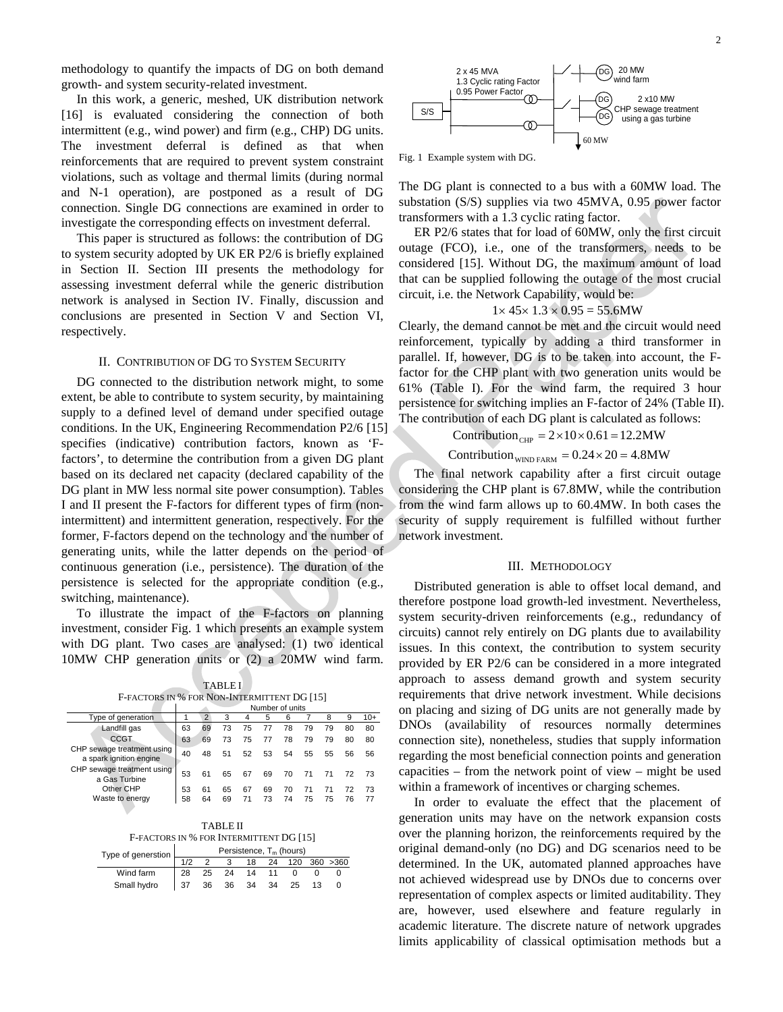methodology to quantify the impacts of DG on both demand growth- and system security-related investment.

In this work, a generic, meshed, UK distribution network [16] is evaluated considering the connection of both intermittent (e.g., wind power) and firm (e.g., CHP) DG units. The investment deferral is defined as that when reinforcements that are required to prevent system constraint violations, such as voltage and thermal limits (during normal and N-1 operation), are postponed as a result of DG connection. Single DG connections are examined in order to investigate the corresponding effects on investment deferral.

This paper is structured as follows: the contribution of DG to system security adopted by UK ER P2/6 is briefly explained in Section II. Section III presents the methodology for assessing investment deferral while the generic distribution network is analysed in Section IV. Finally, discussion and conclusions are presented in Section V and Section VI, respectively.

#### II. CONTRIBUTION OF DG TO SYSTEM SECURITY

DG connected to the distribution network might, to some extent, be able to contribute to system security, by maintaining supply to a defined level of demand under specified outage conditions. In the UK, Engineering Recommendation P2/6 [15] specifies (indicative) contribution factors, known as 'Ffactors', to determine the contribution from a given DG plant based on its declared net capacity (declared capability of the DG plant in MW less normal site power consumption). Tables I and II present the F-factors for different types of firm (nonintermittent) and intermittent generation, respectively. For the former, F-factors depend on the technology and the number of generating units, while the latter depends on the period of continuous generation (i.e., persistence). The duration of the persistence is selected for the appropriate condition (e.g., switching, maintenance).

To illustrate the impact of the F-factors on planning investment, consider Fig. 1 which presents an example system with DG plant. Two cases are analysed: (1) two identical 10MW CHP generation units or (2) a 20MW wind farm.

TABLE I F-FACTORS IN % FOR NON-INTERMITTENT DG [15]

|                                                       | Number of units |    |    |    |    |    |    |    |    |       |
|-------------------------------------------------------|-----------------|----|----|----|----|----|----|----|----|-------|
| Type of generation                                    |                 | 2  | 3  |    | 5  | 6  |    |    |    | $10+$ |
| Landfill gas                                          | 63              | 69 | 73 | 75 | 77 | 78 | 79 | 79 | 80 | 80    |
| <b>CCGT</b>                                           | 63              | 69 | 73 | 75 | 77 | 78 | 79 | 79 | 80 | 80    |
| CHP sewage treatment using<br>a spark ignition engine | 40              | 48 | 51 | 52 | 53 | 54 | 55 | 55 | 56 | 56    |
| CHP sewage treatment using<br>a Gas Turbine           | 53              | 61 | 65 | 67 | 69 | 70 | 71 | 71 | 72 | 73    |
| Other CHP                                             | 53              | 61 | 65 | 67 | 69 | 70 | 71 |    | 72 | 73    |
| Waste to energy                                       | 58              | 64 | 69 |    | 73 | 74 | 75 | 75 | 76 | 77    |

TABLE II F-FACTORS IN % FOR INTERMITTENT DG [15]

| Type of generstion $\boxed{\phantom{a}}$ | Persistence, T <sub>m</sub> (hours) |    |       |      |    |     |  |           |  |
|------------------------------------------|-------------------------------------|----|-------|------|----|-----|--|-----------|--|
|                                          |                                     |    |       | 18   | 24 | 120 |  | 360 > 360 |  |
| Wind farm                                | -28                                 | 25 | $-24$ | 14   |    |     |  |           |  |
| Small hydro                              |                                     | 36 | - 36  | - 34 | 34 | 25  |  |           |  |



Fig. 1 Example system with DG.

The DG plant is connected to a bus with a 60MW load. The substation (S/S) supplies via two 45MVA, 0.95 power factor transformers with a 1.3 cyclic rating factor.

ER P2/6 states that for load of 60MW, only the first circuit outage (FCO), i.e., one of the transformers, needs to be considered [15]. Without DG, the maximum amount of load that can be supplied following the outage of the most crucial circuit, i.e. the Network Capability, would be:

$$
1 \times 45 \times 1.3 \times 0.95 = 55.6
$$
MW

Clearly, the demand cannot be met and the circuit would need reinforcement, typically by adding a third transformer in parallel. If, however, DG is to be taken into account, the Ffactor for the CHP plant with two generation units would be 61% (Table I). For the wind farm, the required 3 hour persistence for switching implies an F-factor of 24% (Table II). The contribution of each DG plant is calculated as follows:

$$
Contribution_{CHP} = 2 \times 10 \times 0.61 = 12.2 MW
$$

$$
Contribution_{\text{WIND FARM}} = 0.24 \times 20 = 4.8 \text{MW}
$$

The final network capability after a first circuit outage considering the CHP plant is 67.8MW, while the contribution from the wind farm allows up to 60.4MW. In both cases the security of supply requirement is fulfilled without further network investment.

#### III. METHODOLOGY

Distributed generation is able to offset local demand, and therefore postpone load growth-led investment. Nevertheless, system security-driven reinforcements (e.g., redundancy of circuits) cannot rely entirely on DG plants due to availability issues. In this context, the contribution to system security provided by ER P2/6 can be considered in a more integrated approach to assess demand growth and system security requirements that drive network investment. While decisions on placing and sizing of DG units are not generally made by DNOs (availability of resources normally determines connection site), nonetheless, studies that supply information regarding the most beneficial connection points and generation capacities – from the network point of view – might be used within a framework of incentives or charging schemes.

In order to evaluate the effect that the placement of generation units may have on the network expansion costs over the planning horizon, the reinforcements required by the original demand-only (no DG) and DG scenarios need to be determined. In the UK, automated planned approaches have not achieved widespread use by DNOs due to concerns over representation of complex aspects or limited auditability. They are, however, used elsewhere and feature regularly in academic literature. The discrete nature of network upgrades limits applicability of classical optimisation methods but a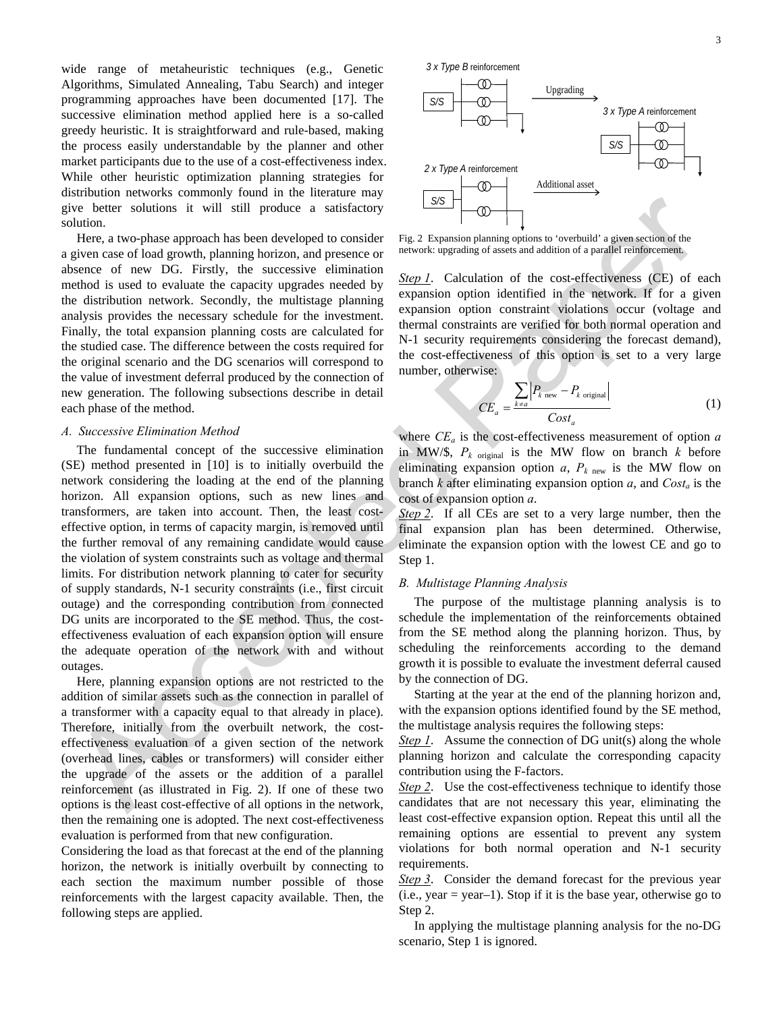wide range of metaheuristic techniques (e.g., Genetic Algorithms, Simulated Annealing, Tabu Search) and integer programming approaches have been documented [17]. The successive elimination method applied here is a so-called greedy heuristic. It is straightforward and rule-based, making the process easily understandable by the planner and other market participants due to the use of a cost-effectiveness index. While other heuristic optimization planning strategies for distribution networks commonly found in the literature may give better solutions it will still produce a satisfactory solution.

Here, a two-phase approach has been developed to consider a given case of load growth, planning horizon, and presence or absence of new DG. Firstly, the successive elimination method is used to evaluate the capacity upgrades needed by the distribution network. Secondly, the multistage planning analysis provides the necessary schedule for the investment. Finally, the total expansion planning costs are calculated for the studied case. The difference between the costs required for the original scenario and the DG scenarios will correspond to the value of investment deferral produced by the connection of new generation. The following subsections describe in detail each phase of the method.

#### *A. Successive Elimination Method*

The fundamental concept of the successive elimination (SE) method presented in [10] is to initially overbuild the network considering the loading at the end of the planning horizon. All expansion options, such as new lines and transformers, are taken into account. Then, the least costeffective option, in terms of capacity margin, is removed until the further removal of any remaining candidate would cause the violation of system constraints such as voltage and thermal limits. For distribution network planning to cater for security of supply standards, N-1 security constraints (i.e., first circuit outage) and the corresponding contribution from connected DG units are incorporated to the SE method. Thus, the costeffectiveness evaluation of each expansion option will ensure the adequate operation of the network with and without outages.

Here, planning expansion options are not restricted to the addition of similar assets such as the connection in parallel of a transformer with a capacity equal to that already in place). Therefore, initially from the overbuilt network, the costeffectiveness evaluation of a given section of the network (overhead lines, cables or transformers) will consider either the upgrade of the assets or the addition of a parallel reinforcement (as illustrated in Fig. 2). If one of these two options is the least cost-effective of all options in the network, then the remaining one is adopted. The next cost-effectiveness evaluation is performed from that new configuration.

Considering the load as that forecast at the end of the planning horizon, the network is initially overbuilt by connecting to each section the maximum number possible of those reinforcements with the largest capacity available. Then, the following steps are applied.



Fig. 2 Expansion planning options to 'overbuild' a given section of the network: upgrading of assets and addition of a parallel reinforcement.

**Step 1.** Calculation of the cost-effectiveness (CE) of each expansion option identified in the network. If for a given expansion option constraint violations occur (voltage and thermal constraints are verified for both normal operation and N-1 security requirements considering the forecast demand), the cost-effectiveness of this option is set to a very large number, otherwise:

$$
CE_a = \frac{\sum_{k \neq a} |P_{k \text{ new}} - P_{k \text{ original}}|}{Cost_a}
$$
 (1)

where  $CE_a$  is the cost-effectiveness measurement of option  $a$ in MW/\$,  $P_k$  original is the MW flow on branch  $k$  before eliminating expansion option  $a$ ,  $P_{k \text{ new}}$  is the MW flow on branch  $k$  after eliminating expansion option  $a$ , and  $Cost_a$  is the cost of expansion option *a*.

*Step 2*. If all CEs are set to a very large number, then the final expansion plan has been determined. Otherwise, eliminate the expansion option with the lowest CE and go to Step 1.

#### *B. Multistage Planning Analysis*

The purpose of the multistage planning analysis is to schedule the implementation of the reinforcements obtained from the SE method along the planning horizon. Thus, by scheduling the reinforcements according to the demand growth it is possible to evaluate the investment deferral caused by the connection of DG.

Starting at the year at the end of the planning horizon and, with the expansion options identified found by the SE method, the multistage analysis requires the following steps:

*Step 1.* Assume the connection of DG unit(s) along the whole planning horizon and calculate the corresponding capacity contribution using the F-factors.

**Step 2.** Use the cost-effectiveness technique to identify those candidates that are not necessary this year, eliminating the least cost-effective expansion option. Repeat this until all the remaining options are essential to prevent any system violations for both normal operation and N-1 security requirements.

*Step 3*. Consider the demand forecast for the previous year  $(i.e., year = year-1)$ . Stop if it is the base year, otherwise go to Step 2.

In applying the multistage planning analysis for the no-DG scenario, Step 1 is ignored.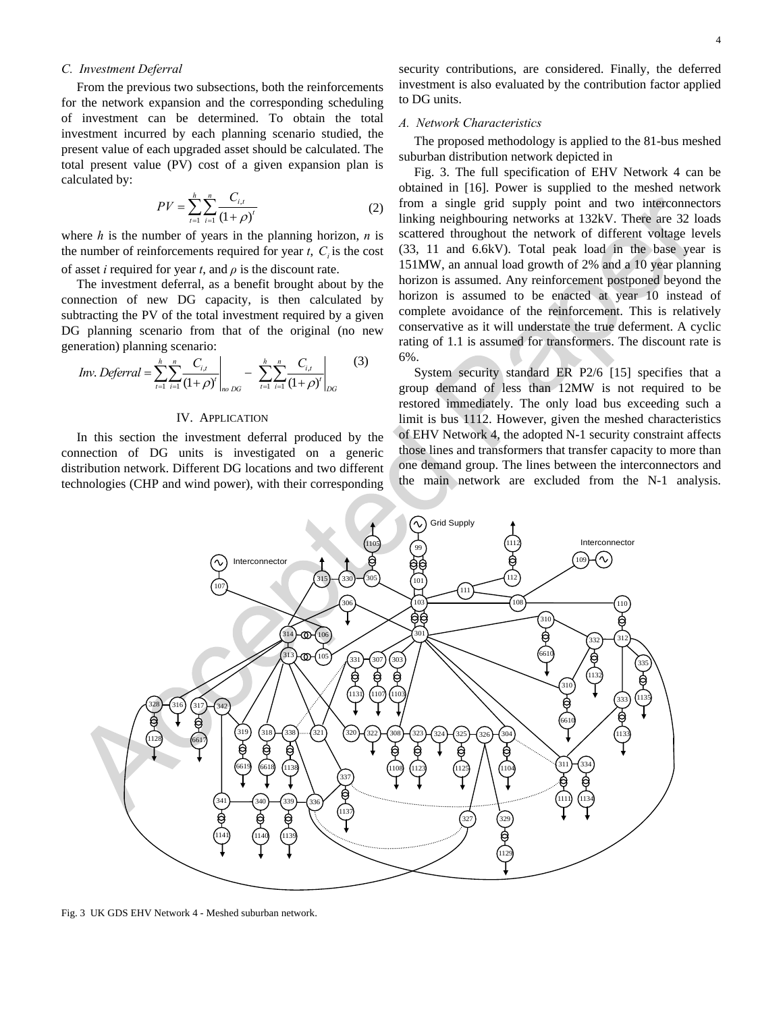#### *C. Investment Deferral*

From the previous two subsections, both the reinforcements for the network expansion and the corresponding scheduling of investment can be determined. To obtain the total investment incurred by each planning scenario studied, the present value of each upgraded asset should be calculated. The total present value (PV) cost of a given expansion plan is calculated by:

$$
PV = \sum_{t=1}^{h} \sum_{i=1}^{n} \frac{C_{i,t}}{(1+\rho)^{t}}
$$
 (2)

where  $h$  is the number of years in the planning horizon,  $n$  is the number of reinforcements required for year  $t$ ,  $C<sub>i</sub>$  is the cost of asset *i* required for year *t*, and *ρ* is the discount rate.

The investment deferral, as a benefit brought about by the connection of new DG capacity, is then calculated by subtracting the PV of the total investment required by a given DG planning scenario from that of the original (no new generation) planning scenario:

*Inv. Deferval* = 
$$
\sum_{t=1}^{h} \sum_{i=1}^{n} \frac{C_{i,t}}{(1+\rho)^{t}} \bigg|_{no\,DG} - \sum_{t=1}^{h} \sum_{i=1}^{n} \frac{C_{i,t}}{(1+\rho)^{t}} \bigg|_{DG}
$$
 (3)

#### IV. APPLICATION

In this section the investment deferral produced by the connection of DG units is investigated on a generic distribution network. Different DG locations and two different technologies (CHP and wind power), with their corresponding

security contributions, are considered. Finally, the deferred investment is also evaluated by the contribution factor applied to DG units.

#### *A. Network Characteristics*

The proposed methodology is applied to the 81-bus meshed suburban distribution network depicted in

Fig. 3. The full specification of EHV Network 4 can be obtained in [16]. Power is supplied to the meshed network from a single grid supply point and two interconnectors linking neighbouring networks at 132kV. There are 32 loads scattered throughout the network of different voltage levels (33, 11 and 6.6kV). Total peak load in the base year is 151MW, an annual load growth of 2% and a 10 year planning horizon is assumed. Any reinforcement postponed beyond the horizon is assumed to be enacted at year 10 instead of complete avoidance of the reinforcement. This is relatively conservative as it will understate the true deferment. A cyclic rating of 1.1 is assumed for transformers. The discount rate is 6%.

System security standard ER P2/6 [15] specifies that a group demand of less than 12MW is not required to be restored immediately. The only load bus exceeding such a limit is bus 1112. However, given the meshed characteristics of EHV Network 4, the adopted N-1 security constraint affects those lines and transformers that transfer capacity to more than one demand group. The lines between the interconnectors and the main network are excluded from the N-1 analysis.



Fig. 3 UK GDS EHV Network 4 - Meshed suburban network.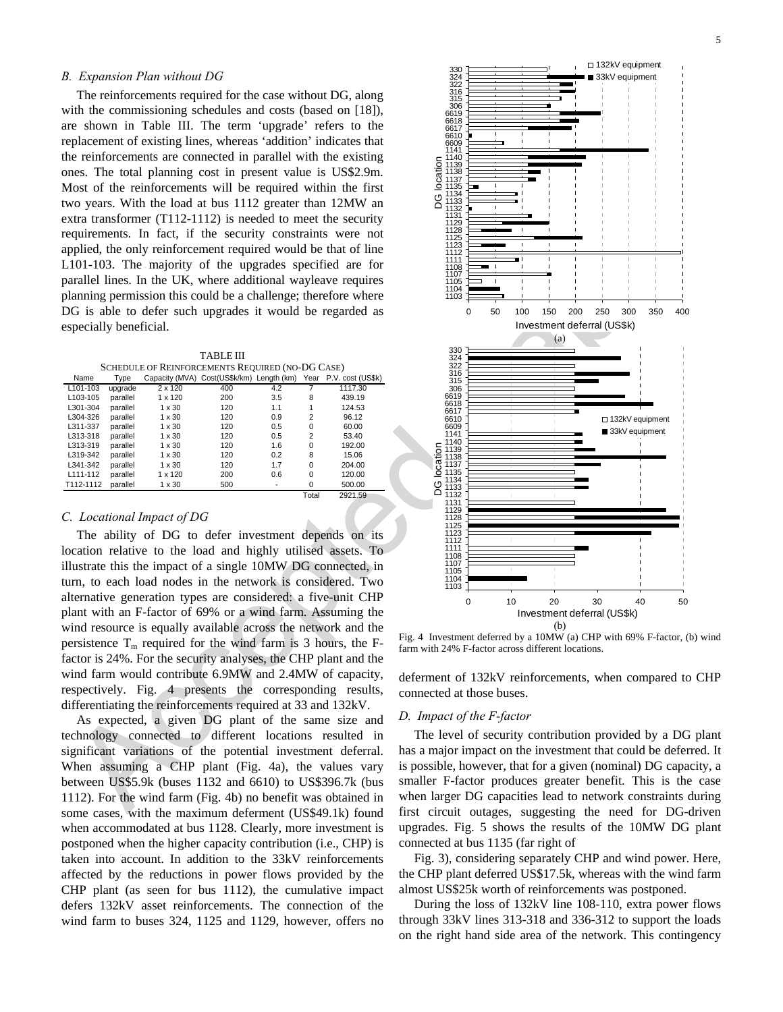#### *B. Expansion Plan without DG*

The reinforcements required for the case without DG, along with the commissioning schedules and costs (based on [18]), are shown in Table III. The term 'upgrade' refers to the replacement of existing lines, whereas 'addition' indicates that the reinforcements are connected in parallel with the existing ones. The total planning cost in present value is US\$2.9m. Most of the reinforcements will be required within the first two years. With the load at bus 1112 greater than 12MW an extra transformer (T112-1112) is needed to meet the security requirements. In fact, if the security constraints were not applied, the only reinforcement required would be that of line L101-103. The majority of the upgrades specified are for parallel lines. In the UK, where additional wayleave requires planning permission this could be a challenge; therefore where DG is able to defer such upgrades it would be regarded as especially beneficial.

TABLE III SCHEDULE OF REINFORCEMENTS REQUIRED (NO-DG CASE)

| Name                  | Type     | Capacity (MVA) | Cost(US\$k/km) Length (km) |     | Year           | P.V. cost (US\$k) |
|-----------------------|----------|----------------|----------------------------|-----|----------------|-------------------|
| L101-103              | upgrade  | 2 x 120        | 400                        | 4.2 |                | 1117.30           |
| L <sub>103</sub> -105 | parallel | $1 \times 120$ | 200                        | 3.5 | 8              | 439.19            |
| L301-304              | parallel | $1 \times 30$  | 120                        | 1.1 | 1              | 124.53            |
| L304-326              | parallel | $1 \times 30$  | 120                        | 0.9 | $\overline{2}$ | 96.12             |
| L311-337              | parallel | $1 \times 30$  | 120                        | 0.5 | $\mathbf 0$    | 60.00             |
| L313-318              | parallel | $1 \times 30$  | 120                        | 0.5 | $\overline{2}$ | 53.40             |
| L313-319              | parallel | $1 \times 30$  | 120                        | 1.6 | $\mathbf 0$    | 192.00            |
| L319-342              | parallel | $1 \times 30$  | 120                        | 0.2 | 8              | 15.06             |
| L341-342              | parallel | $1 \times 30$  | 120                        | 1.7 | $\Omega$       | 204.00            |
| L111-112              | parallel | $1 \times 120$ | 200                        | 0.6 | $\Omega$       | 120.00            |
| T112-1112             | parallel | $1 \times 30$  | 500                        |     | 0              | 500.00            |
|                       |          |                |                            |     | Total          | 2921.59           |

#### *C. Locational Impact of DG*

The ability of DG to defer investment depends on its location relative to the load and highly utilised assets. To illustrate this the impact of a single 10MW DG connected, in turn, to each load nodes in the network is considered. Two alternative generation types are considered: a five-unit CHP plant with an F-factor of 69% or a wind farm. Assuming the wind resource is equally available across the network and the persistence  $T_m$  required for the wind farm is 3 hours, the Ffactor is 24%. For the security analyses, the CHP plant and the wind farm would contribute 6.9MW and 2.4MW of capacity, respectively. Fig. 4 presents the corresponding results, differentiating the reinforcements required at 33 and 132kV.

As expected, a given DG plant of the same size and technology connected to different locations resulted in significant variations of the potential investment deferral. When assuming a CHP plant (Fig. 4a), the values vary between US\$5.9k (buses 1132 and 6610) to US\$396.7k (bus 1112). For the wind farm (Fig. 4b) no benefit was obtained in some cases, with the maximum deferment (US\$49.1k) found when accommodated at bus 1128. Clearly, more investment is postponed when the higher capacity contribution (i.e., CHP) is taken into account. In addition to the 33kV reinforcements affected by the reductions in power flows provided by the CHP plant (as seen for bus 1112), the cumulative impact defers 132kV asset reinforcements. The connection of the wind farm to buses 324, 1125 and 1129, however, offers no



Fig. 4 Investment deferred by a 10MW (a) CHP with 69% F-factor, (b) wind farm with 24% F-factor across different locations.

deferment of 132kV reinforcements, when compared to CHP connected at those buses.

#### *D. Impact of the F-factor*

The level of security contribution provided by a DG plant has a major impact on the investment that could be deferred. It is possible, however, that for a given (nominal) DG capacity, a smaller F-factor produces greater benefit. This is the case when larger DG capacities lead to network constraints during first circuit outages, suggesting the need for DG-driven upgrades. Fig. 5 shows the results of the 10MW DG plant connected at bus 1135 (far right of

Fig. 3), considering separately CHP and wind power. Here, the CHP plant deferred US\$17.5k, whereas with the wind farm almost US\$25k worth of reinforcements was postponed.

During the loss of 132kV line 108-110, extra power flows through 33kV lines 313-318 and 336-312 to support the loads on the right hand side area of the network. This contingency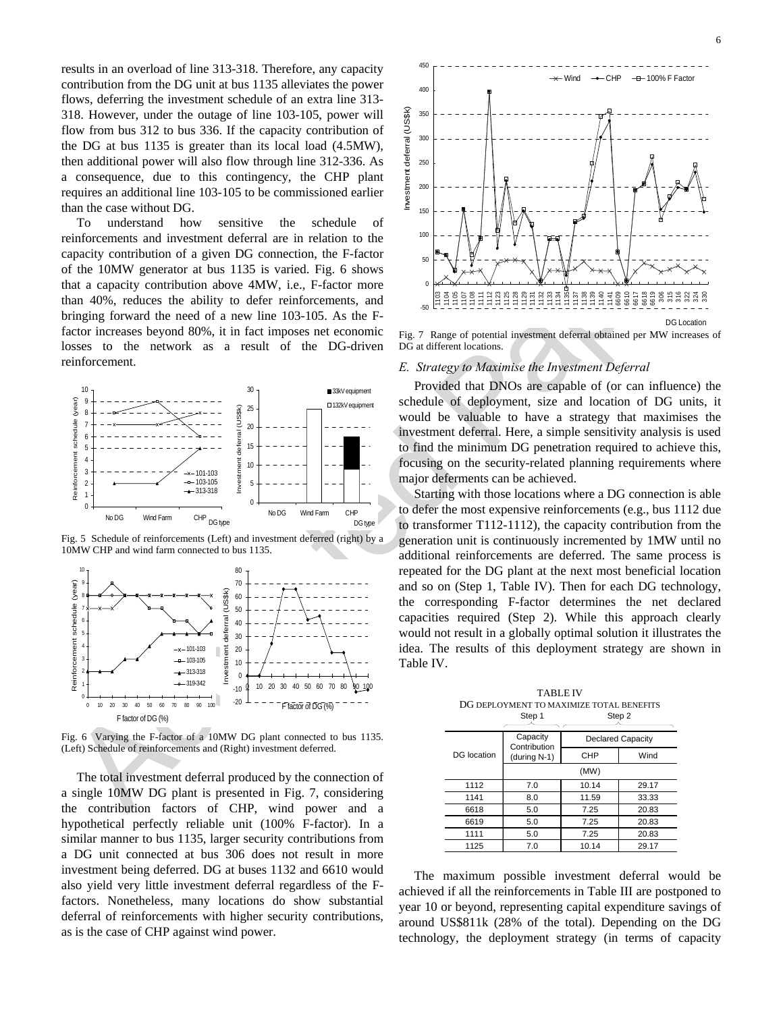results in an overload of line 313-318. Therefore, any capacity contribution from the DG unit at bus 1135 alleviates the power flows, deferring the investment schedule of an extra line 313- 318. However, under the outage of line 103-105, power will flow from bus 312 to bus 336. If the capacity contribution of the DG at bus 1135 is greater than its local load (4.5MW), then additional power will also flow through line 312-336. As a consequence, due to this contingency, the CHP plant requires an additional line 103-105 to be commissioned earlier than the case without DG.

To understand how sensitive the schedule of reinforcements and investment deferral are in relation to the capacity contribution of a given DG connection, the F-factor of the 10MW generator at bus 1135 is varied. Fig. 6 shows that a capacity contribution above 4MW, i.e., F-factor more than 40%, reduces the ability to defer reinforcements, and bringing forward the need of a new line 103-105. As the Ffactor increases beyond 80%, it in fact imposes net economic losses to the network as a result of the DG-driven reinforcement.



Fig. 5 Schedule of reinforcements (Left) and investment deferred (right) by a 10MW CHP and wind farm connected to bus 1135.



Fig. 6 Varying the F-factor of a 10MW DG plant connected to bus 1135. (Left) Schedule of reinforcements and (Right) investment deferred.

The total investment deferral produced by the connection of a single 10MW DG plant is presented in Fig. 7, considering the contribution factors of CHP, wind power and a hypothetical perfectly reliable unit (100% F-factor). In a similar manner to bus 1135, larger security contributions from a DG unit connected at bus 306 does not result in more investment being deferred. DG at buses 1132 and 6610 would also yield very little investment deferral regardless of the Ffactors. Nonetheless, many locations do show substantial deferral of reinforcements with higher security contributions, as is the case of CHP against wind power.



Fig. 7 Range of potential investment deferral obtained per MW increases of DG at different locations.

#### *E. Strategy to Maximise the Investment Deferral*

Provided that DNOs are capable of (or can influence) the schedule of deployment, size and location of DG units, it would be valuable to have a strategy that maximises the investment deferral. Here, a simple sensitivity analysis is used to find the minimum DG penetration required to achieve this, focusing on the security-related planning requirements where major deferments can be achieved.

Starting with those locations where a DG connection is able to defer the most expensive reinforcements (e.g., bus 1112 due to transformer T112-1112), the capacity contribution from the generation unit is continuously incremented by 1MW until no additional reinforcements are deferred. The same process is repeated for the DG plant at the next most beneficial location and so on (Step 1, Table IV). Then for each DG technology, the corresponding F-factor determines the net declared capacities required (Step 2). While this approach clearly would not result in a globally optimal solution it illustrates the idea. The results of this deployment strategy are shown in Table IV.

TABLE IV DG DEPLOYMENT TO MAXIMIZE TOTAL BENEFITS Step 1 Step<sub>2</sub>

| DG location | Capacity<br>Contribution | <b>Declared Capacity</b> |       |  |  |  |
|-------------|--------------------------|--------------------------|-------|--|--|--|
|             | (during N-1)             | <b>CHP</b>               | Wind  |  |  |  |
|             | (MW)                     |                          |       |  |  |  |
| 1112        | 7.0                      | 10.14                    | 29.17 |  |  |  |
| 1141        | 8.0                      | 11.59                    | 33.33 |  |  |  |
| 6618        | 5.0                      | 7.25                     | 20.83 |  |  |  |
| 6619        | 5.0                      | 7.25                     | 20.83 |  |  |  |
| 1111        | 5.0                      | 7.25                     | 20.83 |  |  |  |
| 1125        | 7.0                      | 10.14                    | 29.17 |  |  |  |

The maximum possible investment deferral would be achieved if all the reinforcements in Table III are postponed to year 10 or beyond, representing capital expenditure savings of around US\$811k (28% of the total). Depending on the DG technology, the deployment strategy (in terms of capacity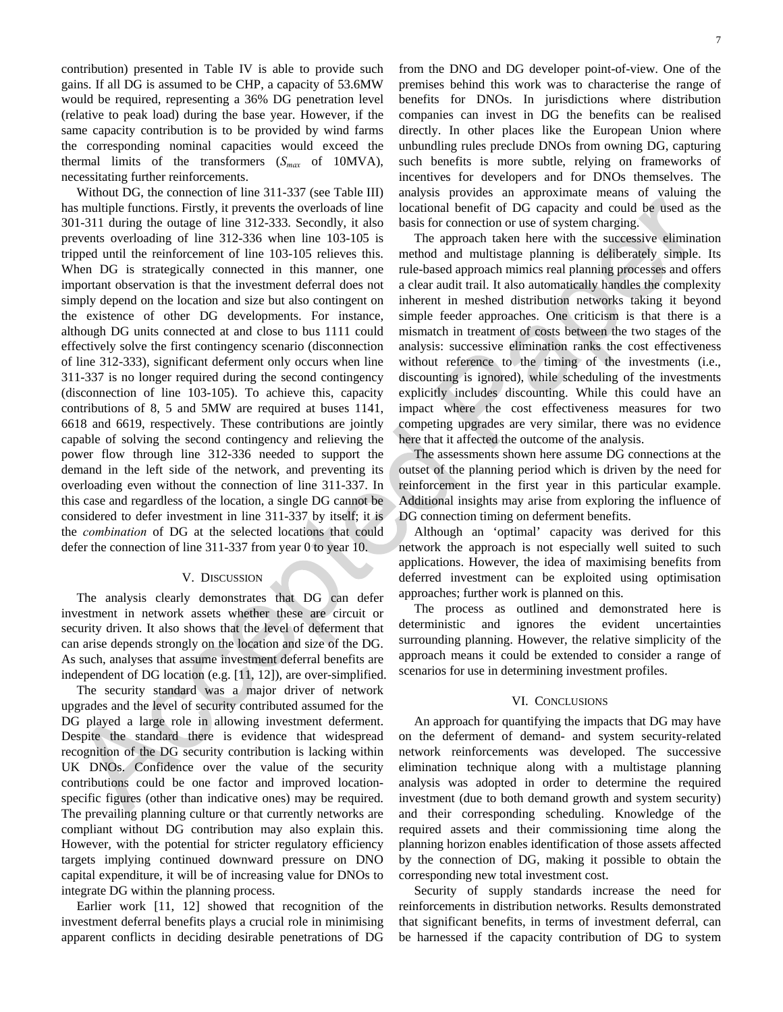contribution) presented in Table IV is able to provide such gains. If all DG is assumed to be CHP, a capacity of 53.6MW would be required, representing a 36% DG penetration level (relative to peak load) during the base year. However, if the same capacity contribution is to be provided by wind farms the corresponding nominal capacities would exceed the thermal limits of the transformers  $(S_{max}$  of 10MVA), necessitating further reinforcements.

Without DG, the connection of line 311-337 (see Table III) has multiple functions. Firstly, it prevents the overloads of line 301-311 during the outage of line 312-333. Secondly, it also prevents overloading of line 312-336 when line 103-105 is tripped until the reinforcement of line 103-105 relieves this. When DG is strategically connected in this manner, one important observation is that the investment deferral does not simply depend on the location and size but also contingent on the existence of other DG developments. For instance, although DG units connected at and close to bus 1111 could effectively solve the first contingency scenario (disconnection of line 312-333), significant deferment only occurs when line 311-337 is no longer required during the second contingency (disconnection of line 103-105). To achieve this, capacity contributions of 8, 5 and 5MW are required at buses 1141, 6618 and 6619, respectively. These contributions are jointly capable of solving the second contingency and relieving the power flow through line 312-336 needed to support the demand in the left side of the network, and preventing its overloading even without the connection of line 311-337. In this case and regardless of the location, a single DG cannot be considered to defer investment in line 311-337 by itself; it is the *combination* of DG at the selected locations that could defer the connection of line 311-337 from year 0 to year 10.

#### V. DISCUSSION

The analysis clearly demonstrates that DG can defer investment in network assets whether these are circuit or security driven. It also shows that the level of deferment that can arise depends strongly on the location and size of the DG. As such, analyses that assume investment deferral benefits are independent of DG location (e.g. [11, 12]), are over-simplified.

The security standard was a major driver of network upgrades and the level of security contributed assumed for the DG played a large role in allowing investment deferment. Despite the standard there is evidence that widespread recognition of the DG security contribution is lacking within UK DNOs. Confidence over the value of the security contributions could be one factor and improved locationspecific figures (other than indicative ones) may be required. The prevailing planning culture or that currently networks are compliant without DG contribution may also explain this. However, with the potential for stricter regulatory efficiency targets implying continued downward pressure on DNO capital expenditure, it will be of increasing value for DNOs to integrate DG within the planning process.

Earlier work [11, 12] showed that recognition of the investment deferral benefits plays a crucial role in minimising apparent conflicts in deciding desirable penetrations of DG

from the DNO and DG developer point-of-view. One of the premises behind this work was to characterise the range of benefits for DNOs. In jurisdictions where distribution companies can invest in DG the benefits can be realised directly. In other places like the European Union where unbundling rules preclude DNOs from owning DG, capturing such benefits is more subtle, relying on frameworks of incentives for developers and for DNOs themselves. The analysis provides an approximate means of valuing the locational benefit of DG capacity and could be used as the basis for connection or use of system charging.

The approach taken here with the successive elimination method and multistage planning is deliberately simple. Its rule-based approach mimics real planning processes and offers a clear audit trail. It also automatically handles the complexity inherent in meshed distribution networks taking it beyond simple feeder approaches. One criticism is that there is a mismatch in treatment of costs between the two stages of the analysis: successive elimination ranks the cost effectiveness without reference to the timing of the investments (i.e., discounting is ignored), while scheduling of the investments explicitly includes discounting. While this could have an impact where the cost effectiveness measures for two competing upgrades are very similar, there was no evidence here that it affected the outcome of the analysis.

The assessments shown here assume DG connections at the outset of the planning period which is driven by the need for reinforcement in the first year in this particular example. Additional insights may arise from exploring the influence of DG connection timing on deferment benefits.

Although an 'optimal' capacity was derived for this network the approach is not especially well suited to such applications. However, the idea of maximising benefits from deferred investment can be exploited using optimisation approaches; further work is planned on this.

The process as outlined and demonstrated here is deterministic and ignores the evident uncertainties surrounding planning. However, the relative simplicity of the approach means it could be extended to consider a range of scenarios for use in determining investment profiles.

#### VI. CONCLUSIONS

An approach for quantifying the impacts that DG may have on the deferment of demand- and system security-related network reinforcements was developed. The successive elimination technique along with a multistage planning analysis was adopted in order to determine the required investment (due to both demand growth and system security) and their corresponding scheduling. Knowledge of the required assets and their commissioning time along the planning horizon enables identification of those assets affected by the connection of DG, making it possible to obtain the corresponding new total investment cost.

Security of supply standards increase the need for reinforcements in distribution networks. Results demonstrated that significant benefits, in terms of investment deferral, can be harnessed if the capacity contribution of DG to system